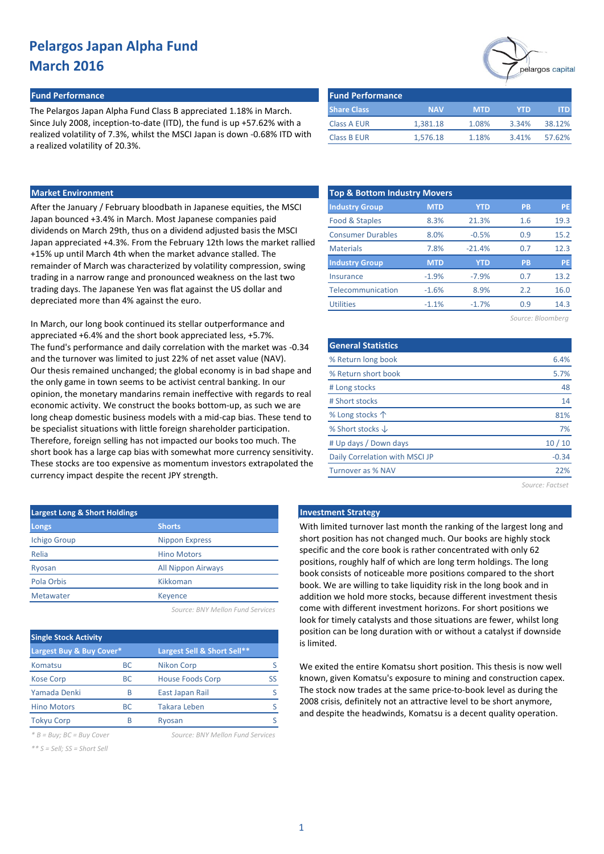### **Fund Performance Fund Performance**

The Pelargos Japan Alpha Fund Class B appreciated 1.18% in March. Since July 2008, inception-to-date (ITD), the fund is up +57.62% with a realized volatility of 7.3%, whilst the MSCI Japan is down -0.68% ITD with a realized volatility of 20.3%.

| <b>Fund Performance</b> |            |            |       |        |  |  |
|-------------------------|------------|------------|-------|--------|--|--|
| <b>Share Class</b>      | <b>NAV</b> | <b>MTD</b> | YTD   | ITD    |  |  |
| <b>Class A EUR</b>      | 1.381.18   | 1.08%      | 3.34% | 38.12% |  |  |
| <b>Class B EUR</b>      | 1,576.18   | 1.18%      | 3.41% | 57.62% |  |  |

# **Market Environment**

After the January / February bloodbath in Japanese equities, the MSCI Japan bounced +3.4% in March. Most Japanese companies paid dividends on March 29th, thus on a dividend adjusted basis the MSCI Japan appreciated +4.3%. From the February 12th lows the market rallied +15% up until March 4th when the market advance stalled. The remainder of March was characterized by volatility compression, swing trading in a narrow range and pronounced weakness on the last two trading days. The Japanese Yen was flat against the US dollar and depreciated more than 4% against the euro.

In March, our long book continued its stellar outperformance and appreciated +6.4% and the short book appreciated less, +5.7%. The fund's performance and daily correlation with the market was -0.34 and the turnover was limited to just 22% of net asset value (NAV). Our thesis remained unchanged; the global economy is in bad shape and the only game in town seems to be activist central banking. In our opinion, the monetary mandarins remain ineffective with regards to real economic activity. We construct the books bottom-up, as such we are long cheap domestic business models with a mid-cap bias. These tend to be specialist situations with little foreign shareholder participation. Therefore, foreign selling has not impacted our books too much. The short book has a large cap bias with somewhat more currency sensitivity. These stocks are too expensive as momentum investors extrapolated the currency impact despite the recent JPY strength.

| <b>Largest Long &amp; Short Holdings</b> |                           |  |  |  |  |  |  |  |
|------------------------------------------|---------------------------|--|--|--|--|--|--|--|
| Longs                                    | <b>Shorts</b>             |  |  |  |  |  |  |  |
| <b>Ichigo Group</b>                      | <b>Nippon Express</b>     |  |  |  |  |  |  |  |
| Relia                                    | <b>Hino Motors</b>        |  |  |  |  |  |  |  |
| Ryosan                                   | <b>All Nippon Airways</b> |  |  |  |  |  |  |  |
| Pola Orbis                               | Kikkoman                  |  |  |  |  |  |  |  |
| Metawater                                | <b>Keyence</b>            |  |  |  |  |  |  |  |
|                                          |                           |  |  |  |  |  |  |  |

*Source: BNY Mellon Fund Services*

| <b>Single Stock Activity</b> |           |                             |  |  |  |  |  |  |  |
|------------------------------|-----------|-----------------------------|--|--|--|--|--|--|--|
| Largest Buy & Buy Cover*     |           | Largest Sell & Short Sell** |  |  |  |  |  |  |  |
| Komatsu                      | <b>BC</b> | <b>Nikon Corp</b>           |  |  |  |  |  |  |  |
| <b>Kose Corp</b>             | <b>BC</b> | <b>House Foods Corp</b>     |  |  |  |  |  |  |  |
| Yamada Denki                 | B         | East Japan Rail             |  |  |  |  |  |  |  |
| <b>Hino Motors</b>           | ВC        | <b>Takara Leben</b>         |  |  |  |  |  |  |  |
| <b>Tokyu Corp</b>            | R         | Ryosan                      |  |  |  |  |  |  |  |

*\* B = Buy; BC = Buy Cover Source: BNY Mellon Fund Services*

*\*\* S = Sell; SS = Short Sell*

| <b>Top &amp; Bottom Industry Movers</b> |            |            |           |           |  |  |  |  |  |  |
|-----------------------------------------|------------|------------|-----------|-----------|--|--|--|--|--|--|
| <b>Industry Group</b>                   | <b>MTD</b> | <b>YTD</b> | <b>PB</b> | <b>PE</b> |  |  |  |  |  |  |
| Food & Staples                          | 8.3%       | 21.3%      | 1.6       | 19.3      |  |  |  |  |  |  |
| <b>Consumer Durables</b>                | 8.0%       | $-0.5%$    | 0.9       | 15.2      |  |  |  |  |  |  |
| <b>Materials</b>                        | 7.8%       | $-21.4%$   | 0.7       | 12.3      |  |  |  |  |  |  |
| <b>Industry Group</b>                   | <b>MTD</b> | YTD        | <b>PB</b> | <b>PE</b> |  |  |  |  |  |  |
| Insurance                               | $-1.9%$    | $-7.9%$    | 0.7       | 13.2      |  |  |  |  |  |  |
| Telecommunication                       | $-1.6%$    | 8.9%       | 2.2       | 16.0      |  |  |  |  |  |  |
| <b>Utilities</b>                        | $-1.1%$    | $-1.7%$    | 0.9       | 14.3      |  |  |  |  |  |  |
|                                         |            |            |           |           |  |  |  |  |  |  |

| Source: Bloomberg |  |  |  |
|-------------------|--|--|--|
|                   |  |  |  |

elargos capital

| <b>General Statistics</b>      |         |
|--------------------------------|---------|
| % Return long book             | 6.4%    |
| % Return short book            | 5.7%    |
| # Long stocks                  | 48      |
| # Short stocks                 | 14      |
| % Long stocks $\uparrow$       | 81%     |
| % Short stocks $\downarrow$    | 7%      |
| # Up days / Down days          | 10/10   |
| Daily Correlation with MSCI JP | $-0.34$ |
| Turnover as % NAV              | 22%     |
|                                |         |

*Source: Factset*

# **Late Investment Strategy**

With limited turnover last month the ranking of the largest long and short position has not changed much. Our books are highly stock specific and the core book is rather concentrated with only 62 positions, roughly half of which are long term holdings. The long book consists of noticeable more positions compared to the short book. We are willing to take liquidity risk in the long book and in addition we hold more stocks, because different investment thesis come with different investment horizons. For short positions we look for timely catalysts and those situations are fewer, whilst long position can be long duration with or without a catalyst if downside is limited.

We exited the entire Komatsu short position. This thesis is now well known, given Komatsu's exposure to mining and construction capex. The stock now trades at the same price-to-book level as during the 2008 crisis, definitely not an attractive level to be short anymore, and despite the headwinds, Komatsu is a decent quality operation.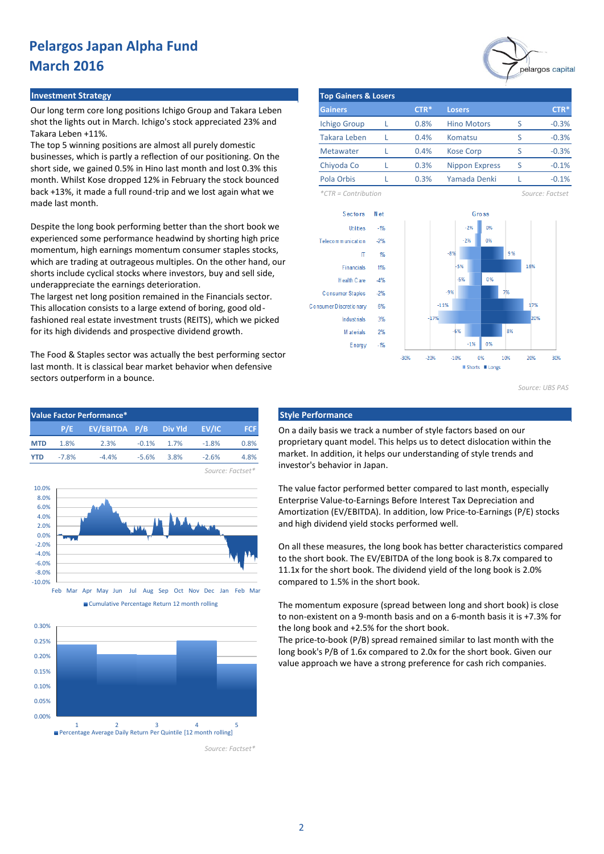## **Investment Strategy**

Our long term core long positions Ichigo Group and Takara Leben shot the lights out in March. Ichigo's stock appreciated 23% and Takara Leben +11%.

The top 5 winning positions are almost all purely domestic businesses, which is partly a reflection of our positioning. On the short side, we gained 0.5% in Hino last month and lost 0.3% this month. Whilst Kose dropped 12% in February the stock bounced back +13%, it made a full round-trip and we lost again what we made last month.

Despite the long book performing better than the short book we experienced some performance headwind by shorting high price momentum, high earnings momentum consumer staples stocks, which are trading at outrageous multiples. On the other hand, our shorts include cyclical stocks where investors, buy and sell side, underappreciate the earnings deterioration.

The largest net long position remained in the Financials sector. This allocation consists to a large extend of boring, good oldfashioned real estate investment trusts (REITS), which we picked for its high dividends and prospective dividend growth.

The Food & Staples sector was actually the best performing sector last month. It is classical bear market behavior when defensive sectors outperform in a bounce.









*Source: Factset\**



| <b>Top Gainers &amp; Losers</b> |  |        |                       |   |          |  |  |  |  |  |
|---------------------------------|--|--------|-----------------------|---|----------|--|--|--|--|--|
| <b>Gainers</b>                  |  | $CTR*$ | <b>Losers</b>         |   | $CTR*$   |  |  |  |  |  |
| <b>Ichigo Group</b>             |  | 0.8%   | <b>Hino Motors</b>    |   | $-0.3%$  |  |  |  |  |  |
| Takara Leben                    |  | 0.4%   | Komatsu               | S | $-0.3%$  |  |  |  |  |  |
| <b>Metawater</b>                |  | 0.4%   | <b>Kose Corp</b>      | ς | $-0.3%$  |  |  |  |  |  |
| Chiyoda Co                      |  | 0.3%   | <b>Nippon Express</b> | ς | $-0.1%$  |  |  |  |  |  |
| Pola Orbis                      |  | 0.3%   | Yamada Denki          |   | $-0.1\%$ |  |  |  |  |  |

*\*CTR = Contribution Source: Factset*



*Source: UBS PAS*

On a daily basis we track a number of style factors based on our proprietary quant model. This helps us to detect dislocation within the market. In addition, it helps our understanding of style trends and investor's behavior in Japan.

The value factor performed better compared to last month, especially Enterprise Value-to-Earnings Before Interest Tax Depreciation and Amortization (EV/EBITDA). In addition, low Price-to-Earnings (P/E) stocks and high dividend yield stocks performed well.

On all these measures, the long book has better characteristics compared to the short book. The EV/EBITDA of the long book is 8.7x compared to 11.1x for the short book. The dividend yield of the long book is 2.0% compared to 1.5% in the short book.

The momentum exposure (spread between long and short book) is close to non-existent on a 9-month basis and on a 6-month basis it is +7.3% for the long book and +2.5% for the short book.

The price-to-book (P/B) spread remained similar to last month with the long book's P/B of 1.6x compared to 2.0x for the short book. Given our value approach we have a strong preference for cash rich companies.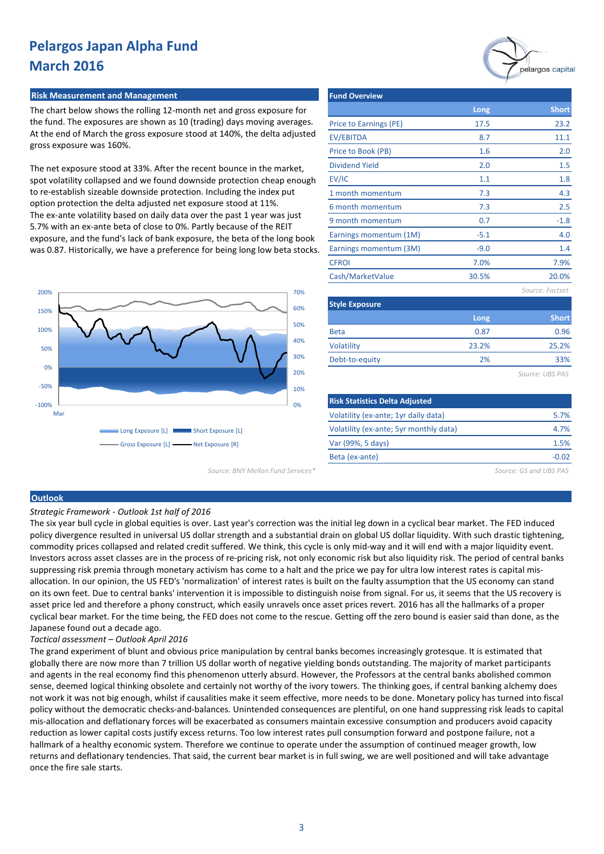## **Risk Measurement and Management**

The chart below shows the rolling 12-month net and gross exposure for the fund. The exposures are shown as 10 (trading) days moving averages. At the end of March the gross exposure stood at 140%, the delta adjusted gross exposure was 160%.

The net exposure stood at 33%. After the recent bounce in the market, spot volatility collapsed and we found downside protection cheap enough to re-establish sizeable downside protection. Including the index put option protection the delta adjusted net exposure stood at 11%. The ex-ante volatility based on daily data over the past 1 year was just 5.7% with an ex-ante beta of close to 0%. Partly because of the REIT exposure, and the fund's lack of bank exposure, the beta of the long book was 0.87. Historically, we have a preference for being long low beta stocks.



| <b>Fund Overview</b>   |        |                 |
|------------------------|--------|-----------------|
|                        | Long   | <b>Short</b>    |
| Price to Earnings (PE) | 17.5   | 23.2            |
| EV/EBITDA              | 8.7    | 11.1            |
| Price to Book (PB)     | 1.6    | 2.0             |
| <b>Dividend Yield</b>  | 2.0    | 1.5             |
| EV/IC                  | 1.1    | 1.8             |
| 1 month momentum       | 7.3    | 4.3             |
| 6 month momentum       | 7.3    | 2.5             |
| 9 month momentum       | 0.7    | $-1.8$          |
| Earnings momentum (1M) | $-5.1$ | 4.0             |
| Earnings momentum (3M) | $-9.0$ | 1.4             |
| <b>CFROI</b>           | 7.0%   | 7.9%            |
| Cash/MarketValue       | 30.5%  | 20.0%           |
|                        |        | Source: Factset |
| <b>Style Exposure</b>  |        |                 |
|                        | Long   | <b>Short</b>    |

| <b>PRIME LAPOSULE</b> |       |              |  |  |  |  |  |
|-----------------------|-------|--------------|--|--|--|--|--|
|                       | Long  | <b>Short</b> |  |  |  |  |  |
| <b>Beta</b>           | 0.87  | 0.96         |  |  |  |  |  |
| Volatility            | 23.2% | 25.2%        |  |  |  |  |  |
| Debt-to-equity        | 2%    | 33%          |  |  |  |  |  |
|                       |       |              |  |  |  |  |  |

*Source: UBS PAS*

pelargos capital

| <b>Risk Statistics Delta Adjusted</b>  |       |
|----------------------------------------|-------|
| Volatility (ex-ante; 1yr daily data)   | 5.7%  |
| Volatility (ex-ante; 5yr monthly data) | 4.7%  |
| Var (99%, 5 days)                      | 1.5%  |
| Beta (ex-ante)                         | -0.02 |
|                                        |       |

*Source: BNY Mellon Fund Services\* Source: GS and UBS PAS*

#### **Outlook**

*Strategic Framework - Outlook 1st half of 2016* 

The six year bull cycle in global equities is over. Last year's correction was the initial leg down in a cyclical bear market. The FED induced policy divergence resulted in universal US dollar strength and a substantial drain on global US dollar liquidity. With such drastic tightening, commodity prices collapsed and related credit suffered. We think, this cycle is only mid-way and it will end with a major liquidity event. Investors across asset classes are in the process of re-pricing risk, not only economic risk but also liquidity risk. The period of central banks suppressing risk premia through monetary activism has come to a halt and the price we pay for ultra low interest rates is capital misallocation. In our opinion, the US FED's 'normalization' of interest rates is built on the faulty assumption that the US economy can stand on its own feet. Due to central banks' intervention it is impossible to distinguish noise from signal. For us, it seems that the US recovery is asset price led and therefore a phony construct, which easily unravels once asset prices revert. 2016 has all the hallmarks of a proper cyclical bear market. For the time being, the FED does not come to the rescue. Getting off the zero bound is easier said than done, as the Japanese found out a decade ago.

### *Tactical assessment – Outlook April 2016*

The grand experiment of blunt and obvious price manipulation by central banks becomes increasingly grotesque. It is estimated that globally there are now more than 7 trillion US dollar worth of negative yielding bonds outstanding. The majority of market participants and agents in the real economy find this phenomenon utterly absurd. However, the Professors at the central banks abolished common sense, deemed logical thinking obsolete and certainly not worthy of the ivory towers. The thinking goes, if central banking alchemy does not work it was not big enough, whilst if causalities make it seem effective, more needs to be done. Monetary policy has turned into fiscal policy without the democratic checks-and-balances. Unintended consequences are plentiful, on one hand suppressing risk leads to capital mis-allocation and deflationary forces will be exacerbated as consumers maintain excessive consumption and producers avoid capacity reduction as lower capital costs justify excess returns. Too low interest rates pull consumption forward and postpone failure, not a hallmark of a healthy economic system. Therefore we continue to operate under the assumption of continued meager growth, low returns and deflationary tendencies. That said, the current bear market is in full swing, we are well positioned and will take advantage once the fire sale starts.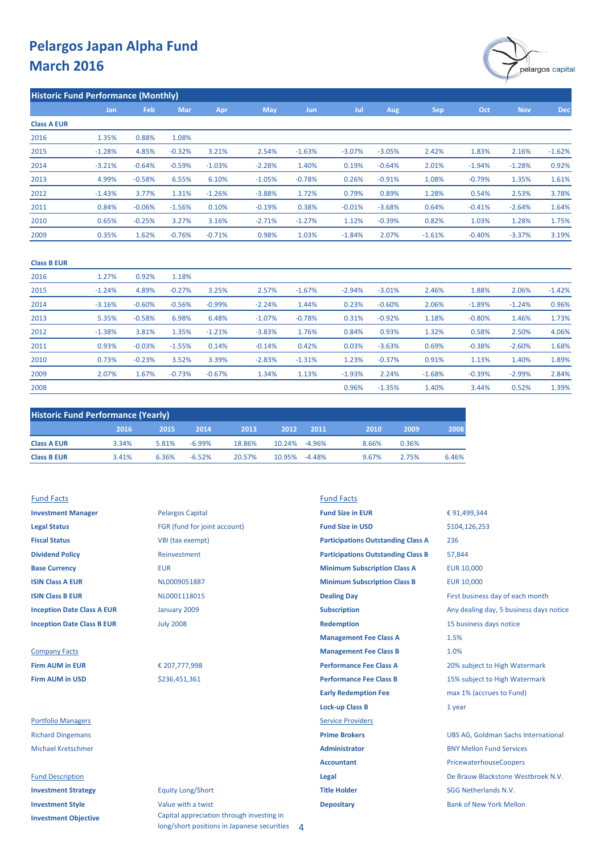

| <b>Historic Fund Performance (Monthly)</b> |          |          |          |          |            |          |          |          |          |          |            |            |
|--------------------------------------------|----------|----------|----------|----------|------------|----------|----------|----------|----------|----------|------------|------------|
|                                            | Jan      | Feb      | Mar      | Apr      | <b>May</b> | Jun      | Jul      | Aug      | Sep      | Oct      | <b>Nov</b> | <b>Dec</b> |
| <b>Class A EUR</b>                         |          |          |          |          |            |          |          |          |          |          |            |            |
| 2016                                       | 1.35%    | 0.88%    | 1.08%    |          |            |          |          |          |          |          |            |            |
| 2015                                       | $-1.28%$ | 4.85%    | $-0.32%$ | 3.21%    | 2.54%      | $-1.63%$ | $-3.07%$ | $-3.05%$ | 2.42%    | 1.83%    | 2.16%      | $-1.62%$   |
| 2014                                       | $-3.21%$ | $-0.64%$ | $-0.59%$ | $-1.03%$ | $-2.28%$   | 1.40%    | 0.19%    | $-0.64%$ | 2.01%    | $-1.94%$ | $-1.28%$   | 0.92%      |
| 2013                                       | 4.99%    | $-0.58%$ | 6.55%    | 6.10%    | $-1.05%$   | $-0.78%$ | 0.26%    | $-0.91%$ | 1.08%    | $-0.79%$ | 1.35%      | 1.61%      |
| 2012                                       | $-1.43%$ | 3.77%    | 1.31%    | $-1.26%$ | $-3.88%$   | 1.72%    | 0.79%    | 0.89%    | 1.28%    | 0.54%    | 2.53%      | 3.78%      |
| 2011                                       | 0.84%    | $-0.06%$ | $-1.56%$ | 0.10%    | $-0.19%$   | 0.38%    | $-0.01%$ | $-3.68%$ | 0.64%    | $-0.41%$ | $-2.64%$   | 1.64%      |
| 2010                                       | 0.65%    | $-0.25%$ | 3.27%    | 3.16%    | $-2.71%$   | $-1.27%$ | 1.12%    | $-0.39%$ | 0.82%    | 1.03%    | 1.28%      | 1.75%      |
| 2009                                       | 0.35%    | 1.62%    | $-0.76%$ | $-0.71%$ | 0.98%      | 1.03%    | $-1.84%$ | 2.07%    | $-1.61%$ | $-0.40%$ | $-3.37%$   | 3.19%      |
|                                            |          |          |          |          |            |          |          |          |          |          |            |            |

### **Class B EUR**

| 2016 | 1.27%    | 0.92%    | 1.18%    |          |          |          |          |          |          |          |          |          |
|------|----------|----------|----------|----------|----------|----------|----------|----------|----------|----------|----------|----------|
| 2015 | $-1.24%$ | 4.89%    | $-0.27%$ | 3.25%    | 2.57%    | $-1.67%$ | $-2.94%$ | $-3.01%$ | 2.46%    | 1.88%    | 2.06%    | $-1.42%$ |
| 2014 | $-3.16%$ | $-0.60%$ | $-0.56%$ | $-0.99%$ | $-2.24%$ | 1.44%    | 0.23%    | $-0.60%$ | 2.06%    | $-1.89%$ | $-1.24%$ | 0.96%    |
| 2013 | 5.35%    | $-0.58%$ | 6.98%    | 6.48%    | $-1.07%$ | $-0.78%$ | 0.31%    | $-0.92%$ | 1.18%    | $-0.80%$ | 1.46%    | 1.73%    |
| 2012 | $-1.38%$ | 3.81%    | 1.35%    | $-1.21%$ | $-3.83%$ | 1.76%    | 0.84%    | 0.93%    | 1.32%    | 0.58%    | 2.50%    | 4.06%    |
| 2011 | 0.93%    | $-0.03%$ | $-1.55%$ | 0.14%    | $-0.14%$ | 0.42%    | 0.03%    | $-3.63%$ | 0.69%    | $-0.38%$ | $-2.60%$ | 1.68%    |
| 2010 | 0.73%    | $-0.23%$ | 3.52%    | 3.39%    | $-2.83%$ | $-1.31%$ | 1.23%    | $-0.37%$ | 0.91%    | 1.13%    | 1.40%    | 1.89%    |
| 2009 | 2.07%    | 1.67%    | $-0.73%$ | $-0.67%$ | 1.34%    | 1.13%    | $-1.93%$ | 2.24%    | $-1.68%$ | $-0.39%$ | $-2.99%$ | 2.84%    |
| 2008 |          |          |          |          |          |          | 0.96%    | $-1.35%$ | 1.40%    | 3.44%    | 0.52%    | 1.39%    |

| <b>Historic Fund Performance (Yearly)</b> |       |       |           |        |               |      |       |       |       |  |
|-------------------------------------------|-------|-------|-----------|--------|---------------|------|-------|-------|-------|--|
|                                           | 2016  | 2015/ | 2014      | 2013   | 2012          | 2011 | 2010  | 2009  | 2008  |  |
| <b>Class A EUR</b>                        | 3.34% | 5.81% | $-6.99\%$ | 18.86% | 10.24% -4.96% |      | 8.66% | 0.36% |       |  |
| <b>Class B EUR</b>                        | 3.41% | 6.36% | $-6.52%$  | 20.57% | 10.95% -4.48% |      | 9.67% | 2.75% | 6.46% |  |

### Fund Facts Fund Facts

**Investment Objective**

| <b>Investment Manager</b>         | <b>Pelargos Capital</b>      | <b>Fund Size in EUR</b>                   | € 91,499,344                               |
|-----------------------------------|------------------------------|-------------------------------------------|--------------------------------------------|
| <b>Legal Status</b>               | FGR (fund for joint account) | <b>Fund Size in USD</b>                   | \$104,126,253                              |
| <b>Fiscal Status</b>              | VBI (tax exempt)             | <b>Participations Outstanding Class A</b> | 236                                        |
| <b>Dividend Policy</b>            | Reinvestment                 | <b>Participations Outstanding Class B</b> | 57,844                                     |
| <b>Base Currency</b>              | <b>EUR</b>                   | <b>Minimum Subscription Class A</b>       | <b>EUR 10,000</b>                          |
| <b>ISIN Class A EUR</b>           | NL0009051887                 | <b>Minimum Subscription Class B</b>       | <b>EUR 10,000</b>                          |
| <b>ISIN Class B EUR</b>           | NL0001118015                 | <b>Dealing Day</b>                        | First business day of each month           |
| <b>Inception Date Class A EUR</b> | January 2009                 | <b>Subscription</b>                       | Any dealing day, 5 business days notice    |
| <b>Inception Date Class B EUR</b> | <b>July 2008</b>             | <b>Redemption</b>                         | 15 business days notice                    |
|                                   |                              | <b>Management Fee Class A</b>             | 1.5%                                       |
| <b>Company Facts</b>              |                              | <b>Management Fee Class B</b>             | 1.0%                                       |
| <b>Firm AUM in EUR</b>            | € 207,777,998                | <b>Performance Fee Class A</b>            | 20% subject to High Watermark              |
| <b>Firm AUM in USD</b>            | \$236,451,361                | <b>Performance Fee Class B</b>            | 15% subject to High Watermark              |
|                                   |                              | <b>Early Redemption Fee</b>               | max 1% (accrues to Fund)                   |
|                                   |                              | <b>Lock-up Class B</b>                    | 1 year                                     |
| <b>Portfolio Managers</b>         |                              | <b>Service Providers</b>                  |                                            |
| <b>Richard Dingemans</b>          |                              | <b>Prime Brokers</b>                      | <b>UBS AG, Goldman Sachs International</b> |
| <b>Michael Kretschmer</b>         |                              | <b>Administrator</b>                      | <b>BNY Mellon Fund Services</b>            |
|                                   |                              | <b>Accountant</b>                         | PricewaterhouseCoopers                     |
| <b>Fund Description</b>           |                              | Legal                                     | De Brauw Blackstone Westbroek N.V.         |
| <b>Investment Strategy</b>        | <b>Equity Long/Short</b>     | <b>Title Holder</b>                       | <b>SGG Netherlands N.V.</b>                |
| <b>Investment Style</b>           | Value with a twist           | <b>Depositary</b>                         | <b>Bank of New York Mellon</b>             |

Capital appreciation through investing in long/short positions in Japanese securities 4